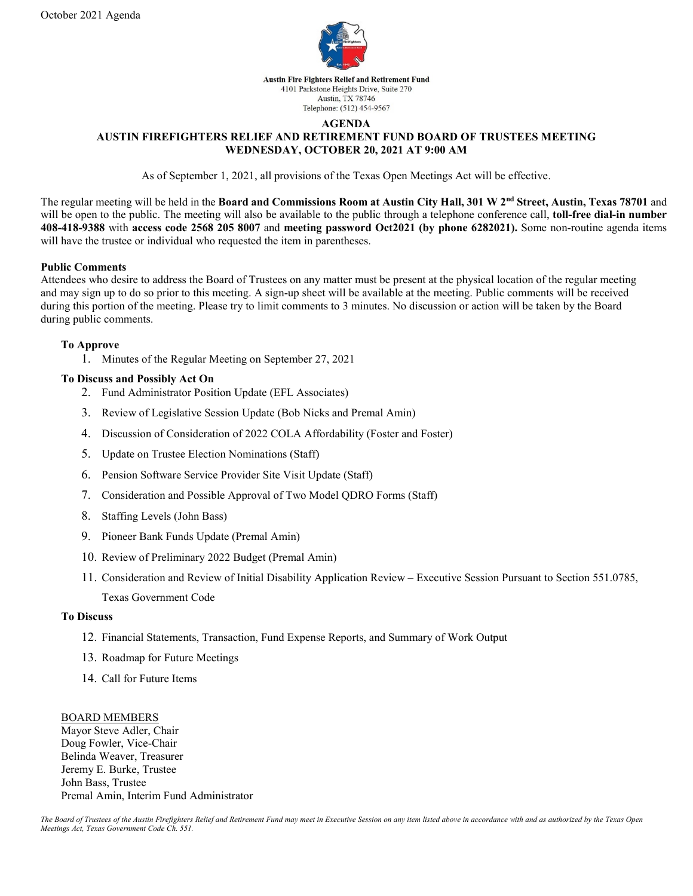

### **AGENDA**

# **AUSTIN FIREFIGHTERS RELIEF AND RETIREMENT FUND BOARD OF TRUSTEES MEETING WEDNESDAY, OCTOBER 20, 2021 AT 9:00 AM**

As of September 1, 2021, all provisions of the Texas Open Meetings Act will be effective.

The regular meeting will be held in the **Board and Commissions Room at Austin City Hall, 301 W 2nd Street, Austin, Texas 78701** and will be open to the public. The meeting will also be available to the public through a telephone conference call, **toll-free dial-in number 408-418-9388** with **access code 2568 205 8007** and **meeting password Oct2021 (by phone 6282021).** Some non-routine agenda items will have the trustee or individual who requested the item in parentheses.

### **Public Comments**

Attendees who desire to address the Board of Trustees on any matter must be present at the physical location of the regular meeting and may sign up to do so prior to this meeting. A sign-up sheet will be available at the meeting. Public comments will be received during this portion of the meeting. Please try to limit comments to 3 minutes. No discussion or action will be taken by the Board during public comments.

### **To Approve**

1. Minutes of the Regular Meeting on September 27, 2021

### **To Discuss and Possibly Act On**

- 2. Fund Administrator Position Update (EFL Associates)
- 3. Review of Legislative Session Update (Bob Nicks and Premal Amin)
- 4. Discussion of Consideration of 2022 COLA Affordability (Foster and Foster)
- 5. Update on Trustee Election Nominations (Staff)
- 6. Pension Software Service Provider Site Visit Update (Staff)
- 7. Consideration and Possible Approval of Two Model QDRO Forms (Staff)
- 8. Staffing Levels (John Bass)
- 9. Pioneer Bank Funds Update (Premal Amin)
- 10. Review of Preliminary 2022 Budget (Premal Amin)
- 11. Consideration and Review of Initial Disability Application Review Executive Session Pursuant to Section 551.0785, Texas Government Code

## **To Discuss**

- 12. Financial Statements, Transaction, Fund Expense Reports, and Summary of Work Output
- 13. Roadmap for Future Meetings
- 14. Call for Future Items

#### BOARD MEMBERS

Mayor Steve Adler, Chair Doug Fowler, Vice-Chair Belinda Weaver, Treasurer Jeremy E. Burke, Trustee John Bass, Trustee Premal Amin, Interim Fund Administrator

*The Board of Trustees of the Austin Firefighters Relief and Retirement Fund may meet in Executive Session on any item listed above in accordance with and as authorized by the Texas Open Meetings Act, Texas Government Code Ch. 551.*